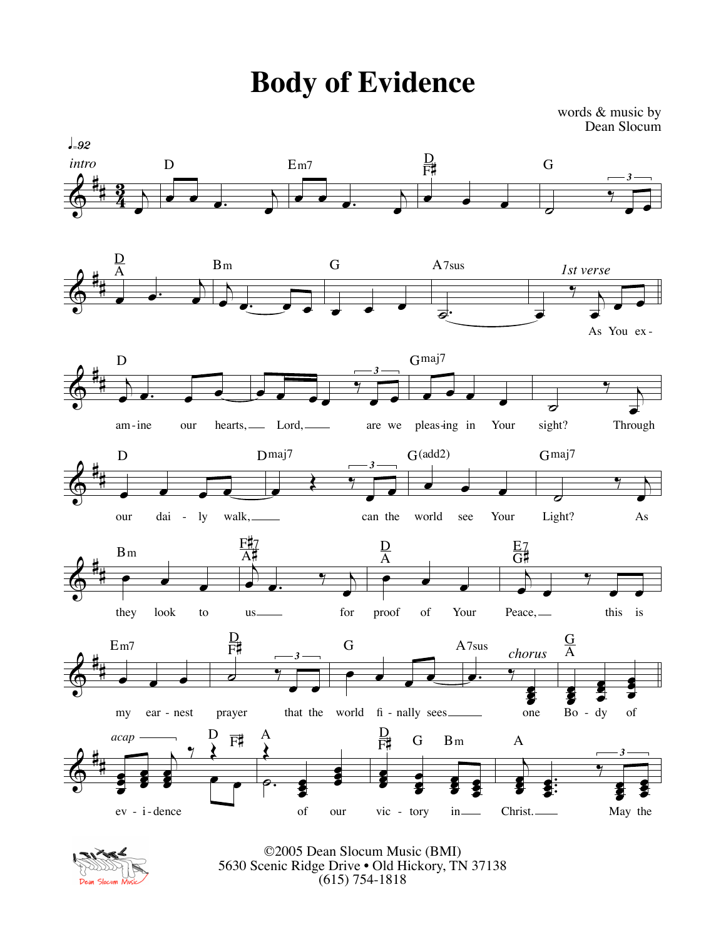**Body of Evidence**

words & music by Dean Slocum





©2005 Dean Slocum Music (BMI) 5630 Scenic Ridge Drive • Old Hickory, TN 37138 (615) 754-1818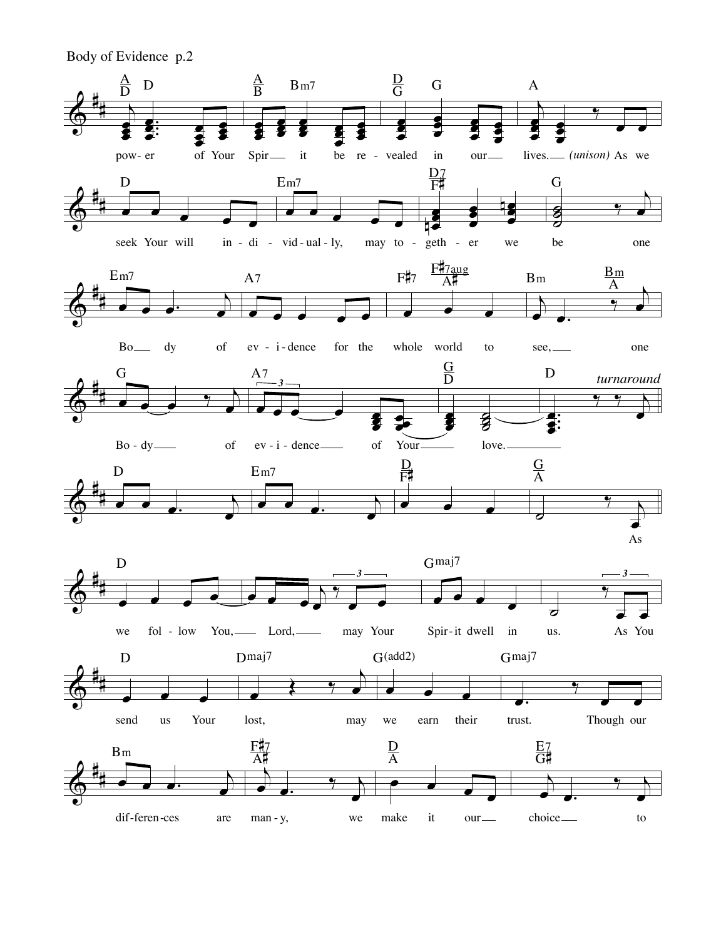Body of Evidence p.2